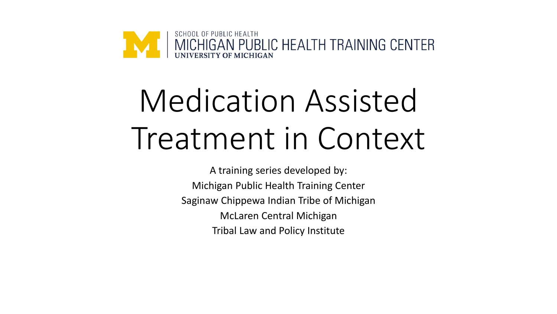

# Medication Assisted Treatment in Context

A training series developed by: Michigan Public Health Training Center Saginaw Chippewa Indian Tribe of Michigan McLaren Central Michigan Tribal Law and Policy Institute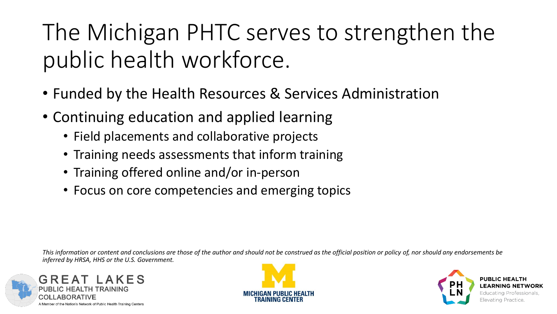## The Michigan PHTC serves to strengthen the public health workforce.

- Funded by the Health Resources & Services Administration
- Continuing education and applied learning
	- Field placements and collaborative projects
	- Training needs assessments that inform training
	- Training offered online and/or in-person
	- Focus on core competencies and emerging topics

*This information or content and conclusions are those of the author and should not be construed as the official position or policy of, nor should any endorsements be inferred by HRSA, HHS or the U.S. Government.*





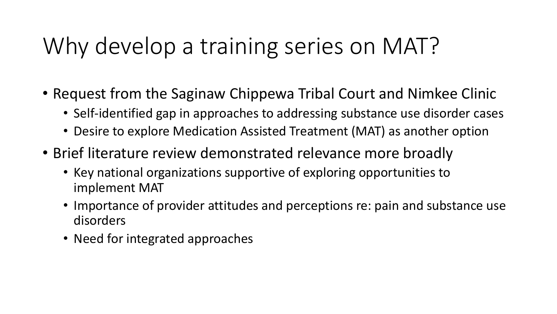## Why develop a training series on MAT?

- Request from the Saginaw Chippewa Tribal Court and Nimkee Clinic
	- Self-identified gap in approaches to addressing substance use disorder cases
	- Desire to explore Medication Assisted Treatment (MAT) as another option
- Brief literature review demonstrated relevance more broadly
	- Key national organizations supportive of exploring opportunities to implement MAT
	- Importance of provider attitudes and perceptions re: pain and substance use disorders
	- Need for integrated approaches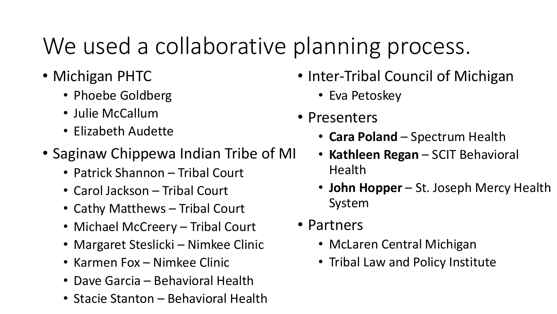## We used a collaborative planning process.

- Michigan PHTC
	- Phoebe Goldberg
	- Julie McCallum
	- Elizabeth Audette
- Saginaw Chippewa Indian Tribe of MI
	- Patrick Shannon Tribal Court
	- Carol Jackson Tribal Court
	- Cathy Matthews Tribal Court
	- Michael McCreery Tribal Court
	- Margaret Steslicki Nimkee Clinic
	- Karmen Fox Nimkee Clinic
	- Dave Garcia Behavioral Health
	- Stacie Stanton Behavioral Health
- Inter-Tribal Council of Michigan
	- Eva Petoskey
- Presenters
	- **Cara Poland**  Spectrum Health
	- **Kathleen Regan**  SCIT Behavioral Health
	- **John Hopper**  St. Joseph Mercy Health System
- Partners
	- McLaren Central Michigan
	- Tribal Law and Policy Institute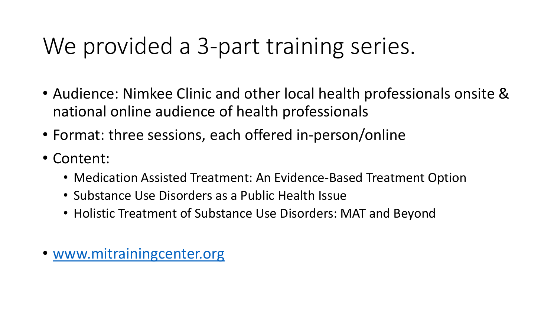### We provided a 3-part training series.

- Audience: Nimkee Clinic and other local health professionals onsite & national online audience of health professionals
- Format: three sessions, each offered in-person/online
- Content:
	- Medication Assisted Treatment: An Evidence-Based Treatment Option
	- Substance Use Disorders as a Public Health Issue
	- Holistic Treatment of Substance Use Disorders: MAT and Beyond
- [www.mitrainingcenter.org](http://www.mitrainingcenter.org/)